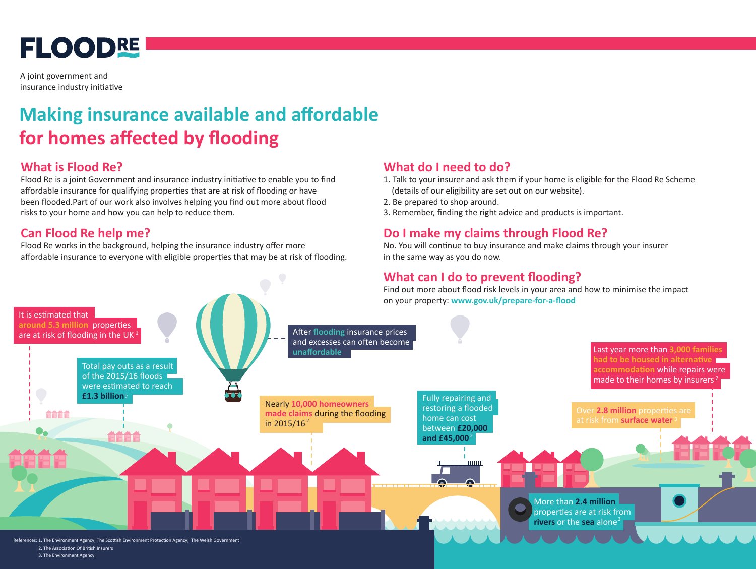# **FLOODRE**

A joint government and insurance industry initiative

### **Making insurance available and affordable for homes affected by flooding**

#### **What is Flood Re?**

Flood Re is a joint Government and insurance industry initiative to enable you to find affordable insurance for qualifying properties that are at risk of flooding or have been flooded.Part of our work also involves helping you find out more about flood risks to your home and how you can help to reduce them.

### **Can Flood Re help me?**

Flood Re works in the background, helping the insurance industry offer more affordable insurance to everyone with eligible properties that may be at risk of flooding.

#### **What do I need to do?**

- 1. Talk to your insurer and ask them if your home is eligible for the Flood Re Scheme (details of our eligibility are set out on our website).
- 2. Be prepared to shop around.
- 3. Remember, finding the right advice and products is important.

#### **Do I make my claims through Flood Re?**

No. You will continue to buy insurance and make claims through your insurer in the same way as you do now.

#### **What can I do to prevent flooding?**

Find out more about flood risk levels in your area and how to minimise the impact on your property: **www.gov.uk/prepare-for-a-flood** 



3. The Environment Agency